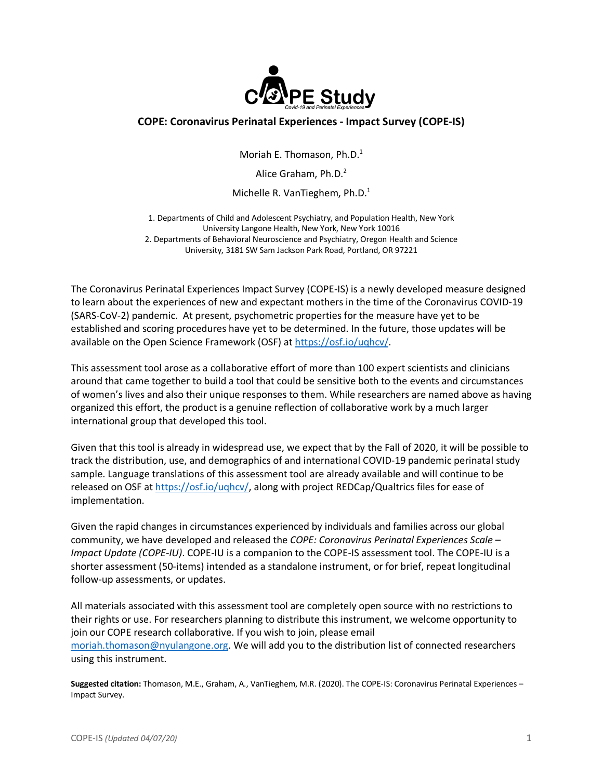

# **COPE: Coronavirus Perinatal Experiences - Impact Survey (COPE-IS)**

Moriah E. Thomason, Ph.D. 1

Alice Graham, Ph.D.<sup>2</sup>

Michelle R. VanTieghem, Ph.D. 1

1. Departments of Child and Adolescent Psychiatry, and Population Health, New York University Langone Health, New York, New York 10016 2. Departments of Behavioral Neuroscience and Psychiatry, Oregon Health and Science University, 3181 SW Sam Jackson Park Road, Portland, OR 97221

The Coronavirus Perinatal Experiences Impact Survey (COPE-IS) is a newly developed measure designed to learn about the experiences of new and expectant mothers in the time of the Coronavirus COVID-19 (SARS-CoV-2) pandemic. At present, psychometric properties for the measure have yet to be established and scoring procedures have yet to be determined. In the future, those updates will be available on the Open Science Framework (OSF) at https://osf.io/uqhcv/.

This assessment tool arose as a collaborative effort of more than 100 expert scientists and clinicians around that came together to build a tool that could be sensitive both to the events and circumstances of women's lives and also their unique responses to them. While researchers are named above as having organized this effort, the product is a genuine reflection of collaborative work by a much larger international group that developed this tool.

Given that this tool is already in widespread use, we expect that by the Fall of 2020, it will be possible to track the distribution, use, and demographics of and international COVID-19 pandemic perinatal study sample. Language translations of this assessment tool are already available and will continue to be released on OSF at https://osf.io/uqhcv/, along with project REDCap/Qualtrics files for ease of implementation.

Given the rapid changes in circumstances experienced by individuals and families across our global community, we have developed and released the *COPE: Coronavirus Perinatal Experiences Scale – Impact Update (COPE-IU)*. COPE-IU is a companion to the COPE-IS assessment tool. The COPE-IU is a shorter assessment (50-items) intended as a standalone instrument, or for brief, repeat longitudinal follow-up assessments, or updates.

All materials associated with this assessment tool are completely open source with no restrictions to their rights or use. For researchers planning to distribute this instrument, we welcome opportunity to join our COPE research collaborative. If you wish to join, please email moriah.thomason@nyulangone.org. We will add you to the distribution list of connected researchers using this instrument.

**Suggested citation:** Thomason, M.E., Graham, A., VanTieghem, M.R. (2020). The COPE-IS: Coronavirus Perinatal Experiences – Impact Survey.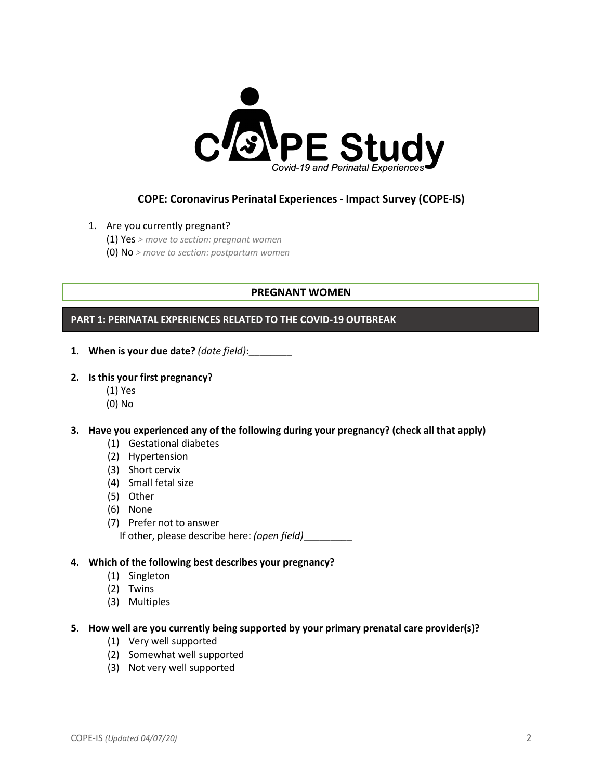

# **COPE: Coronavirus Perinatal Experiences - Impact Survey (COPE-IS)**

### 1. Are you currently pregnant?

(1) Yes *> move to section: pregnant women*

(0) No *> move to section: postpartum women*

# **PREGNANT WOMEN**

## **PART 1: PERINATAL EXPERIENCES RELATED TO THE COVID-19 OUTBREAK**

- **1. When is your due date?** *(date field)*:\_\_\_\_\_\_\_\_
- **2. Is this your first pregnancy?** 
	- (1) Yes
	- (0) No

## **3. Have you experienced any of the following during your pregnancy? (check all that apply)**

- (1) Gestational diabetes
- (2) Hypertension
- (3) Short cervix
- (4) Small fetal size
- (5) Other
- (6) None
- (7) Prefer not to answer
	- If other, please describe here: *(open field)*\_\_\_\_\_\_\_\_\_

# **4. Which of the following best describes your pregnancy?**

- (1) Singleton
- (2) Twins
- (3) Multiples

#### **5. How well are you currently being supported by your primary prenatal care provider(s)?**

- (1) Very well supported
- (2) Somewhat well supported
- (3) Not very well supported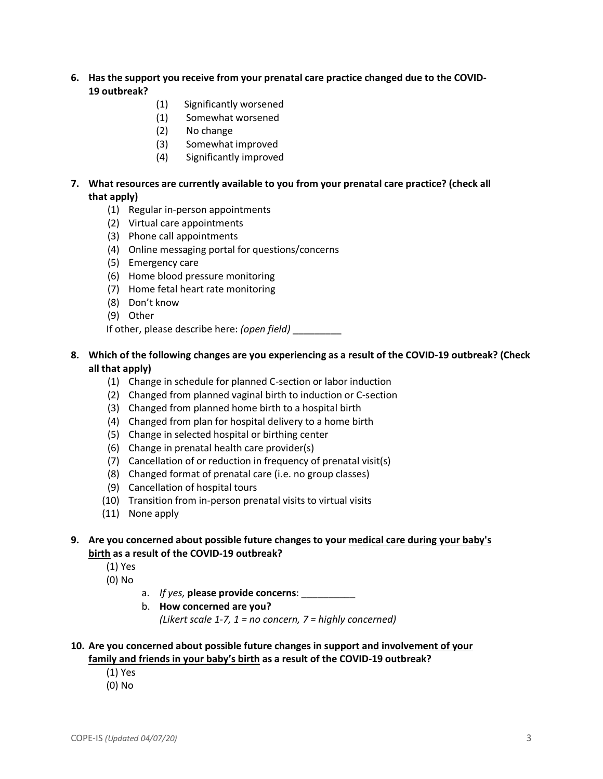- **6. Has the support you receive from your prenatal care practice changed due to the COVID-19 outbreak?** 
	- (1) Significantly worsened
	- (1) Somewhat worsened
	- (2) No change
	- (3) Somewhat improved
	- (4) Significantly improved
- **7. What resources are currently available to you from your prenatal care practice? (check all that apply)**
	- (1) Regular in-person appointments
	- (2) Virtual care appointments
	- (3) Phone call appointments
	- (4) Online messaging portal for questions/concerns
	- (5) Emergency care
	- (6) Home blood pressure monitoring
	- (7) Home fetal heart rate monitoring
	- (8) Don't know
	- (9) Other

If other, please describe here: *(open field)* \_\_\_\_\_\_\_\_\_

### **8. Which of the following changes are you experiencing as a result of the COVID-19 outbreak? (Check all that apply)**

- (1) Change in schedule for planned C-section or labor induction
- (2) Changed from planned vaginal birth to induction or C-section
- (3) Changed from planned home birth to a hospital birth
- (4) Changed from plan for hospital delivery to a home birth
- (5) Change in selected hospital or birthing center
- (6) Change in prenatal health care provider(s)
- (7) Cancellation of or reduction in frequency of prenatal visit(s)
- (8) Changed format of prenatal care (i.e. no group classes)
- (9) Cancellation of hospital tours
- (10) Transition from in-person prenatal visits to virtual visits
- (11) None apply

## **9. Are you concerned about possible future changes to your medical care during your baby's birth as a result of the COVID-19 outbreak?**

- (1) Yes
- (0) No
- a. *If yes,* **please provide concerns**: \_\_\_\_\_\_\_\_\_\_
- b. **How concerned are you?**

*(Likert scale 1-7, 1 = no concern, 7 = highly concerned)*

#### **10. Are you concerned about possible future changes in support and involvement of your family and friends in your baby's birth as a result of the COVID-19 outbreak?**

- (1) Yes
- (0) No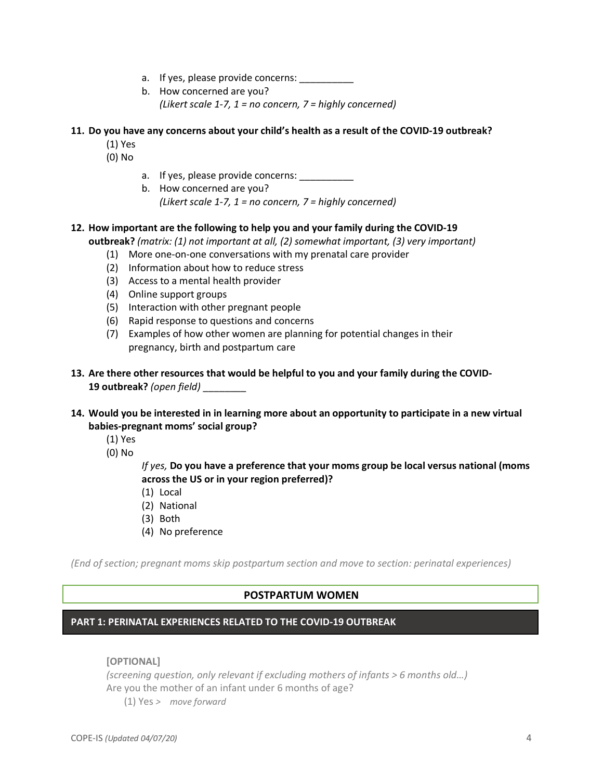- a. If yes, please provide concerns:
- b. How concerned are you? *(Likert scale 1-7, 1 = no concern, 7 = highly concerned)*

## **11. Do you have any concerns about your child's health as a result of the COVID-19 outbreak?**

- (1) Yes
- (0) No
- a. If yes, please provide concerns:
- b. How concerned are you? *(Likert scale 1-7, 1 = no concern, 7 = highly concerned)*

### **12. How important are the following to help you and your family during the COVID-19**

**outbreak?** *(matrix: (1) not important at all, (2) somewhat important, (3) very important)*

- (1) More one-on-one conversations with my prenatal care provider
- (2) Information about how to reduce stress
- (3) Access to a mental health provider
- (4) Online support groups
- (5) Interaction with other pregnant people
- (6) Rapid response to questions and concerns
- (7) Examples of how other women are planning for potential changes in their pregnancy, birth and postpartum care
- **13. Are there other resources that would be helpful to you and your family during the COVID-19 outbreak?** *(open field)* \_\_\_\_\_\_\_\_

### **14. Would you be interested in in learning more about an opportunity to participate in a new virtual babies-pregnant moms' social group?**

- (1) Yes
- (0) No

*If yes,* **Do you have a preference that your moms group be local versus national (moms across the US or in your region preferred)?**

- (1) Local
- (2) National
- (3) Both
- (4) No preference

*(End of section; pregnant moms skip postpartum section and move to section: perinatal experiences)*

#### **POSTPARTUM WOMEN**

#### **PART 1: PERINATAL EXPERIENCES RELATED TO THE COVID-19 OUTBREAK**

**[OPTIONAL]** 

*(screening question, only relevant if excluding mothers of infants > 6 months old…)* Are you the mother of an infant under 6 months of age?

(1) Yes *> move forward*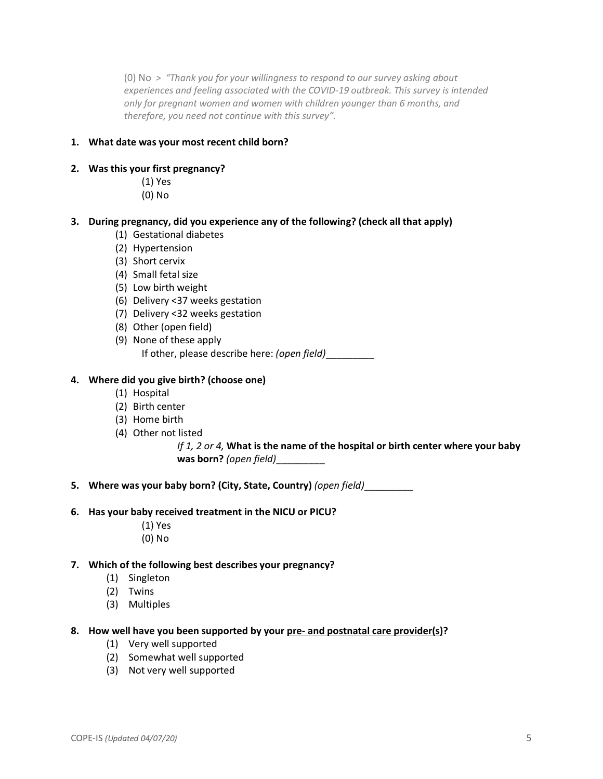(0) No *> "Thank you for your willingness to respond to our survey asking about experiences and feeling associated with the COVID-19 outbreak. This survey is intended only for pregnant women and women with children younger than 6 months, and therefore, you need not continue with this survey".*

#### **1. What date was your most recent child born?**

#### **2. Was this your first pregnancy?**

- (1) Yes
- (0) No

## **3. During pregnancy, did you experience any of the following? (check all that apply)**

- (1) Gestational diabetes
- (2) Hypertension
- (3) Short cervix
- (4) Small fetal size
- (5) Low birth weight
- (6) Delivery <37 weeks gestation
- (7) Delivery <32 weeks gestation
- (8) Other (open field)
- (9) None of these apply If other, please describe here: *(open field)*\_\_\_\_\_\_\_\_\_

## **4. Where did you give birth? (choose one)**

- (1) Hospital
- (2) Birth center
- (3) Home birth
- (4) Other not listed

*If 1, 2 or 4,* **What is the name of the hospital or birth center where your baby was born?** *(open field)*\_\_\_\_\_\_\_\_\_

**5. Where was your baby born? (City, State, Country)** *(open field)*\_\_\_\_\_\_\_\_\_

#### **6. Has your baby received treatment in the NICU or PICU?**

- (1) Yes
- (0) No

#### **7. Which of the following best describes your pregnancy?**

- (1) Singleton
- (2) Twins
- (3) Multiples

#### **8. How well have you been supported by your pre- and postnatal care provider(s)?**

- (1) Very well supported
- (2) Somewhat well supported
- (3) Not very well supported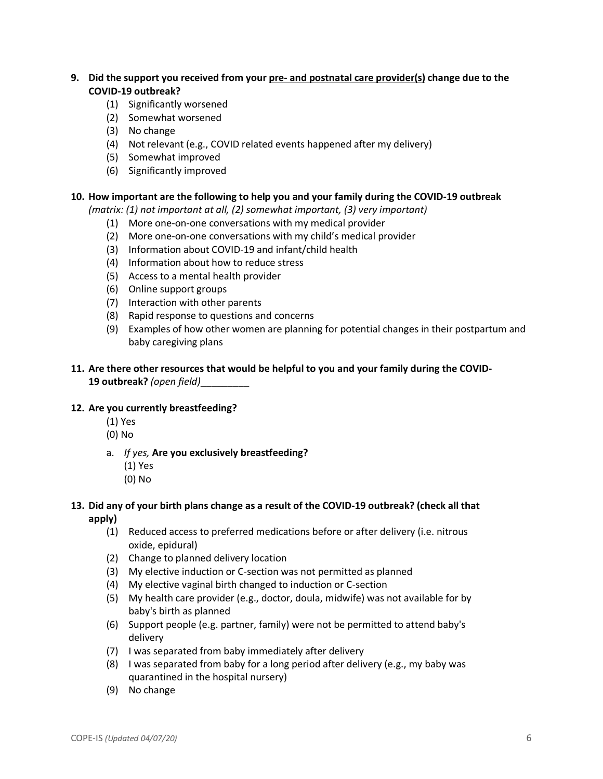# **9. Did the support you received from your pre- and postnatal care provider(s) change due to the COVID-19 outbreak?**

- (1) Significantly worsened
- (2) Somewhat worsened
- (3) No change
- (4) Not relevant (e.g., COVID related events happened after my delivery)
- (5) Somewhat improved
- (6) Significantly improved

#### **10. How important are the following to help you and your family during the COVID-19 outbreak**

*(matrix: (1) not important at all, (2) somewhat important, (3) very important)*

- (1) More one-on-one conversations with my medical provider
- (2) More one-on-one conversations with my child's medical provider
- (3) Information about COVID-19 and infant/child health
- (4) Information about how to reduce stress
- (5) Access to a mental health provider
- (6) Online support groups
- (7) Interaction with other parents
- (8) Rapid response to questions and concerns
- (9) Examples of how other women are planning for potential changes in their postpartum and baby caregiving plans

## **11. Are there other resources that would be helpful to you and your family during the COVID-19 outbreak?** *(open field)*\_\_\_\_\_\_\_\_\_

#### **12. Are you currently breastfeeding?**

- (1) Yes
- (0) No
- a. *If yes,* **Are you exclusively breastfeeding?**
	- (1) Yes
	- (0) No

### **13. Did any of your birth plans change as a result of the COVID-19 outbreak? (check all that apply)**

- (1) Reduced access to preferred medications before or after delivery (i.e. nitrous oxide, epidural)
- (2) Change to planned delivery location
- (3) My elective induction or C-section was not permitted as planned
- (4) My elective vaginal birth changed to induction or C-section
- (5) My health care provider (e.g., doctor, doula, midwife) was not available for by baby's birth as planned
- (6) Support people (e.g. partner, family) were not be permitted to attend baby's delivery
- (7) I was separated from baby immediately after delivery
- (8) I was separated from baby for a long period after delivery (e.g., my baby was quarantined in the hospital nursery)
- (9) No change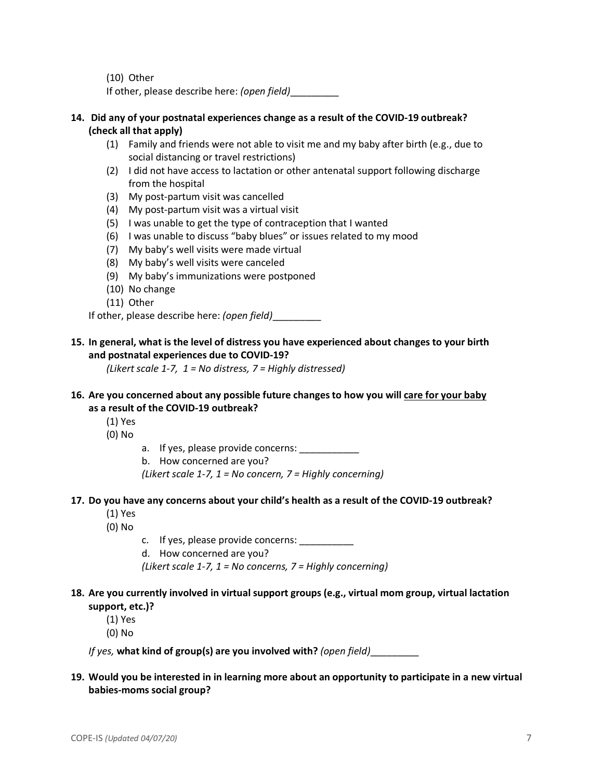(10) Other

If other, please describe here: *(open field)*\_\_\_\_\_\_\_\_\_

## **14. Did any of your postnatal experiences change as a result of the COVID-19 outbreak? (check all that apply)**

- (1) Family and friends were not able to visit me and my baby after birth (e.g., due to social distancing or travel restrictions)
- (2) I did not have access to lactation or other antenatal support following discharge from the hospital
- (3) My post-partum visit was cancelled
- (4) My post-partum visit was a virtual visit
- (5) I was unable to get the type of contraception that I wanted
- (6) I was unable to discuss "baby blues" or issues related to my mood
- (7) My baby's well visits were made virtual
- (8) My baby's well visits were canceled
- (9) My baby's immunizations were postponed
- (10) No change
- (11) Other

If other, please describe here: *(open field)*\_\_\_\_\_\_\_\_\_

# **15. In general, what is the level of distress you have experienced about changes to your birth and postnatal experiences due to COVID-19?**

*(Likert scale 1-7, 1 = No distress, 7 = Highly distressed)* 

# **16. Are you concerned about any possible future changes to how you will care for your baby as a result of the COVID-19 outbreak?**

- (1) Yes
- (0) No
- a. If yes, please provide concerns:
- b. How concerned are you?

*(Likert scale 1-7, 1 = No concern, 7 = Highly concerning)*

## **17. Do you have any concerns about your child's health as a result of the COVID-19 outbreak?**

- (1) Yes
- (0) No
- c. If yes, please provide concerns:
- d. How concerned are you?

*(Likert scale 1-7, 1 = No concerns, 7 = Highly concerning)*

# **18. Are you currently involved in virtual support groups (e.g., virtual mom group, virtual lactation support, etc.)?**

(1) Yes

(0) No

*If yes,* **what kind of group(s) are you involved with?** *(open field)*\_\_\_\_\_\_\_\_\_

# **19. Would you be interested in in learning more about an opportunity to participate in a new virtual babies-moms social group?**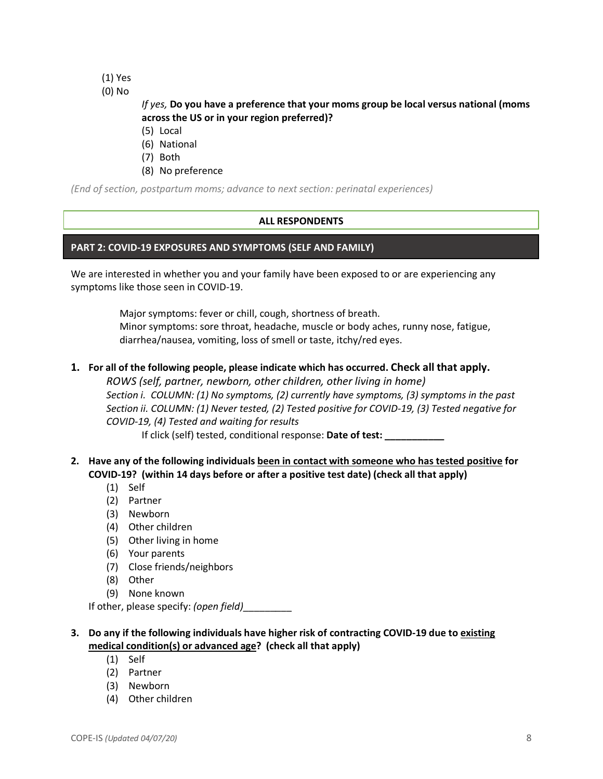- (1) Yes
- (0) No

# *If yes,* **Do you have a preference that your moms group be local versus national (moms across the US or in your region preferred)?**

- (5) Local
- (6) National
- (7) Both
- (8) No preference

*(End of section, postpartum moms; advance to next section: perinatal experiences)*

# **ALL RESPONDENTS**

## **PART 2: COVID-19 EXPOSURES AND SYMPTOMS (SELF AND FAMILY)**

We are interested in whether you and your family have been exposed to or are experiencing any symptoms like those seen in COVID-19.

> Major symptoms: fever or chill, cough, shortness of breath. Minor symptoms: sore throat, headache, muscle or body aches, runny nose, fatigue, diarrhea/nausea, vomiting, loss of smell or taste, itchy/red eyes.

## **1. For all of the following people, please indicate which has occurred. Check all that apply.**

*ROWS (self, partner, newborn, other children, other living in home) Section i. COLUMN: (1) No symptoms, (2) currently have symptoms, (3) symptoms in the past Section ii. COLUMN: (1) Never tested, (2) Tested positive for COVID-19, (3) Tested negative for COVID-19, (4) Tested and waiting for results*

If click (self) tested, conditional response: **Date of test: \_\_\_\_\_\_\_\_\_\_\_**

- **2. Have any of the following individuals been in contact with someone who has tested positive for COVID-19? (within 14 days before or after a positive test date) (check all that apply)**
	- (1) Self
	- (2) Partner
	- (3) Newborn
	- (4) Other children
	- (5) Other living in home
	- (6) Your parents
	- (7) Close friends/neighbors
	- (8) Other
	- (9) None known

If other, please specify: *(open field)*\_\_\_\_\_\_\_\_\_

# **3. Do any if the following individuals have higher risk of contracting COVID-19 due to existing medical condition(s) or advanced age? (check all that apply)**

- (1) Self
- (2) Partner
- (3) Newborn
- (4) Other children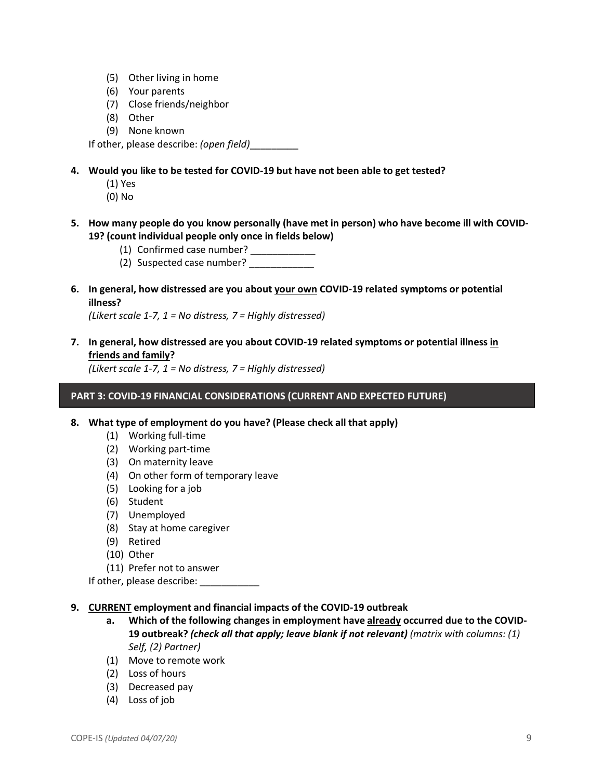- (5) Other living in home
- (6) Your parents
- (7) Close friends/neighbor
- (8) Other
- (9) None known

If other, please describe: *(open field)*\_\_\_\_\_\_\_\_\_

- **4. Would you like to be tested for COVID-19 but have not been able to get tested?**
	- (1) Yes
	- (0) No
- **5. How many people do you know personally (have met in person) who have become ill with COVID-19? (count individual people only once in fields below)**
	- (1) Confirmed case number? \_\_\_\_\_\_\_\_\_\_\_\_
	- (2) Suspected case number?
- **6. In general, how distressed are you about your own COVID-19 related symptoms or potential illness?**

*(Likert scale 1-7, 1 = No distress, 7 = Highly distressed)*

**7. In general, how distressed are you about COVID-19 related symptoms or potential illness in friends and family?** 

*(Likert scale 1-7, 1 = No distress, 7 = Highly distressed)*

### **PART 3: COVID-19 FINANCIAL CONSIDERATIONS (CURRENT AND EXPECTED FUTURE)**

- **8. What type of employment do you have? (Please check all that apply)**
	- (1) Working full-time
	- (2) Working part-time
	- (3) On maternity leave
	- (4) On other form of temporary leave
	- (5) Looking for a job
	- (6) Student
	- (7) Unemployed
	- (8) Stay at home caregiver
	- (9) Retired
	- (10) Other
	- (11) Prefer not to answer

If other, please describe:

#### **9. CURRENT employment and financial impacts of the COVID-19 outbreak**

- **a. Which of the following changes in employment have already occurred due to the COVID-19 outbreak?** *(check all that apply; leave blank if not relevant) (matrix with columns: (1) Self, (2) Partner)*
- (1) Move to remote work
- (2) Loss of hours
- (3) Decreased pay
- (4) Loss of job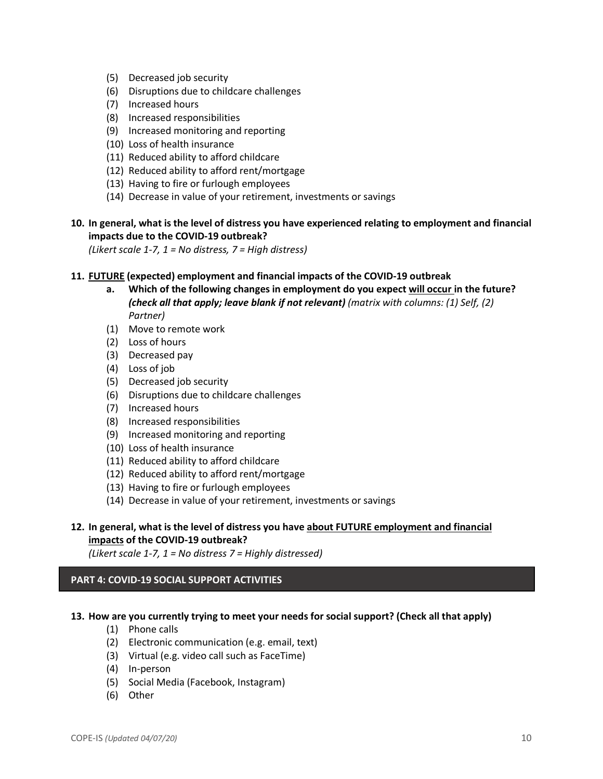- (5) Decreased job security
- (6) Disruptions due to childcare challenges
- (7) Increased hours
- (8) Increased responsibilities
- (9) Increased monitoring and reporting
- (10) Loss of health insurance
- (11) Reduced ability to afford childcare
- (12) Reduced ability to afford rent/mortgage
- (13) Having to fire or furlough employees
- (14) Decrease in value of your retirement, investments or savings

## **10. In general, what is the level of distress you have experienced relating to employment and financial impacts due to the COVID-19 outbreak?**

*(Likert scale 1-7, 1 = No distress, 7 = High distress)* 

#### **11. FUTURE (expected) employment and financial impacts of the COVID-19 outbreak**

- **a. Which of the following changes in employment do you expect will occur in the future?**  *(check all that apply; leave blank if not relevant) (matrix with columns: (1) Self, (2) Partner)*
- (1) Move to remote work
- (2) Loss of hours
- (3) Decreased pay
- (4) Loss of job
- (5) Decreased job security
- (6) Disruptions due to childcare challenges
- (7) Increased hours
- (8) Increased responsibilities
- (9) Increased monitoring and reporting
- (10) Loss of health insurance
- (11) Reduced ability to afford childcare
- (12) Reduced ability to afford rent/mortgage
- (13) Having to fire or furlough employees
- (14) Decrease in value of your retirement, investments or savings

# **12. In general, what is the level of distress you have about FUTURE employment and financial impacts of the COVID-19 outbreak?**

*(Likert scale 1-7, 1 = No distress 7 = Highly distressed)*

## **PART 4: COVID-19 SOCIAL SUPPORT ACTIVITIES**

# **13. How are you currently trying to meet your needs for social support? (Check all that apply)**

- (1) Phone calls
- (2) Electronic communication (e.g. email, text)
- (3) Virtual (e.g. video call such as FaceTime)
- (4) In-person
- (5) Social Media (Facebook, Instagram)
- (6) Other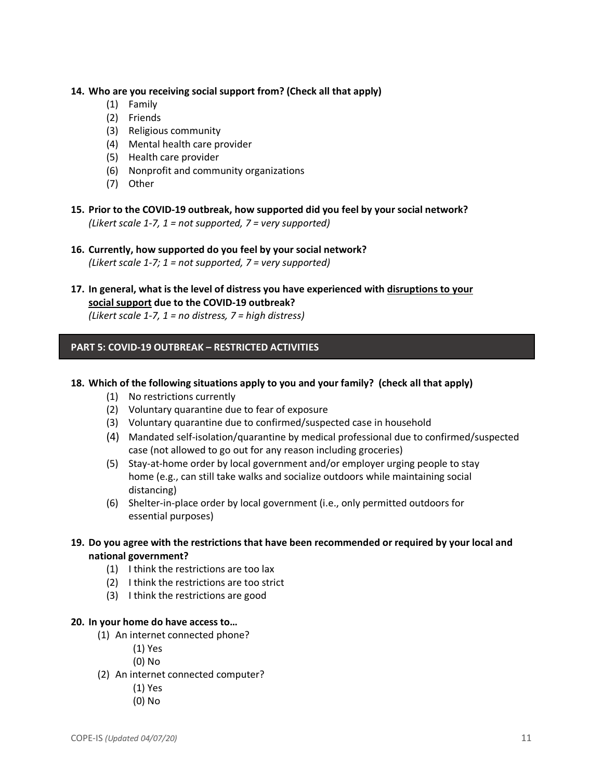### **14. Who are you receiving social support from? (Check all that apply)**

- (1) Family
- (2) Friends
- (3) Religious community
- (4) Mental health care provider
- (5) Health care provider
- (6) Nonprofit and community organizations
- (7) Other
- **15. Prior to the COVID-19 outbreak, how supported did you feel by your social network?**  *(Likert scale 1-7, 1 = not supported, 7 = very supported)*
- **16. Currently, how supported do you feel by your social network?** *(Likert scale 1-7; 1 = not supported, 7 = very supported)*
- **17. In general, what is the level of distress you have experienced with disruptions to your social support due to the COVID-19 outbreak?**

*(Likert scale 1-7, 1 = no distress, 7 = high distress)*

## **PART 5: COVID-19 OUTBREAK – RESTRICTED ACTIVITIES**

## **18. Which of the following situations apply to you and your family? (check all that apply)**

- (1) No restrictions currently
- (2) Voluntary quarantine due to fear of exposure
- (3) Voluntary quarantine due to confirmed/suspected case in household
- (4) Mandated self-isolation/quarantine by medical professional due to confirmed/suspected case (not allowed to go out for any reason including groceries)
- (5) Stay-at-home order by local government and/or employer urging people to stay home (e.g., can still take walks and socialize outdoors while maintaining social distancing)
- (6) Shelter-in-place order by local government (i.e., only permitted outdoors for essential purposes)
- **19. Do you agree with the restrictions that have been recommended or required by your local and national government?**
	- (1) I think the restrictions are too lax
	- (2) I think the restrictions are too strict
	- (3) I think the restrictions are good

#### **20. In your home do have access to…**

- (1) An internet connected phone?
	- (1) Yes
	- (0) No
- (2) An internet connected computer?
	- (1) Yes
	- (0) No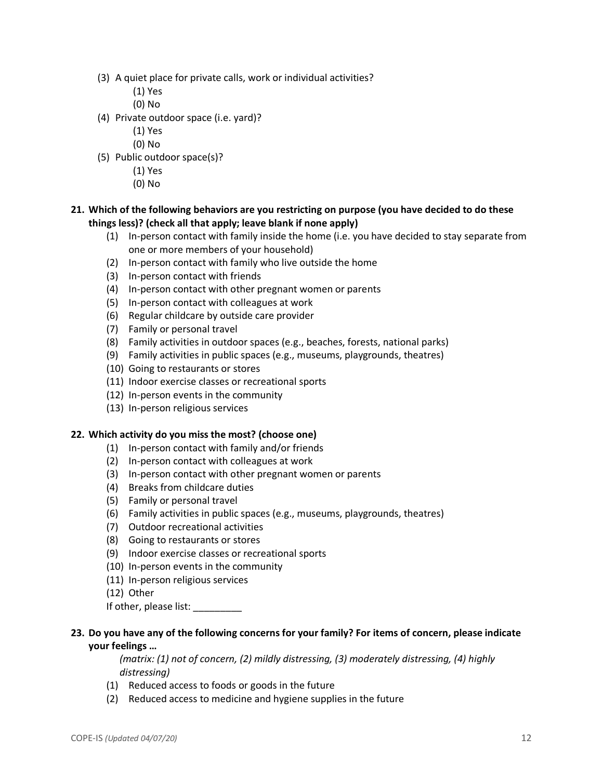- (3) A quiet place for private calls, work or individual activities?
	- (1) Yes
	- (0) No
- (4) Private outdoor space (i.e. yard)?
	- (1) Yes
	- (0) No
- (5) Public outdoor space(s)?
	- (1) Yes
	- (0) No

# **21. Which of the following behaviors are you restricting on purpose (you have decided to do these things less)? (check all that apply; leave blank if none apply)**

- (1) In-person contact with family inside the home (i.e. you have decided to stay separate from one or more members of your household)
- (2) In-person contact with family who live outside the home
- (3) In-person contact with friends
- (4) In-person contact with other pregnant women or parents
- (5) In-person contact with colleagues at work
- (6) Regular childcare by outside care provider
- (7) Family or personal travel
- (8) Family activities in outdoor spaces (e.g., beaches, forests, national parks)
- (9) Family activities in public spaces (e.g., museums, playgrounds, theatres)
- (10) Going to restaurants or stores
- (11) Indoor exercise classes or recreational sports
- (12) In-person events in the community
- (13) In-person religious services

## **22. Which activity do you miss the most? (choose one)**

- (1) In-person contact with family and/or friends
- (2) In-person contact with colleagues at work
- (3) In-person contact with other pregnant women or parents
- (4) Breaks from childcare duties
- (5) Family or personal travel
- (6) Family activities in public spaces (e.g., museums, playgrounds, theatres)
- (7) Outdoor recreational activities
- (8) Going to restaurants or stores
- (9) Indoor exercise classes or recreational sports
- (10) In-person events in the community
- (11) In-person religious services
- (12) Other

If other, please list:

# **23. Do you have any of the following concerns for your family? For items of concern, please indicate your feelings …**

*(matrix: (1) not of concern, (2) mildly distressing, (3) moderately distressing, (4) highly distressing)*

- (1) Reduced access to foods or goods in the future
- (2) Reduced access to medicine and hygiene supplies in the future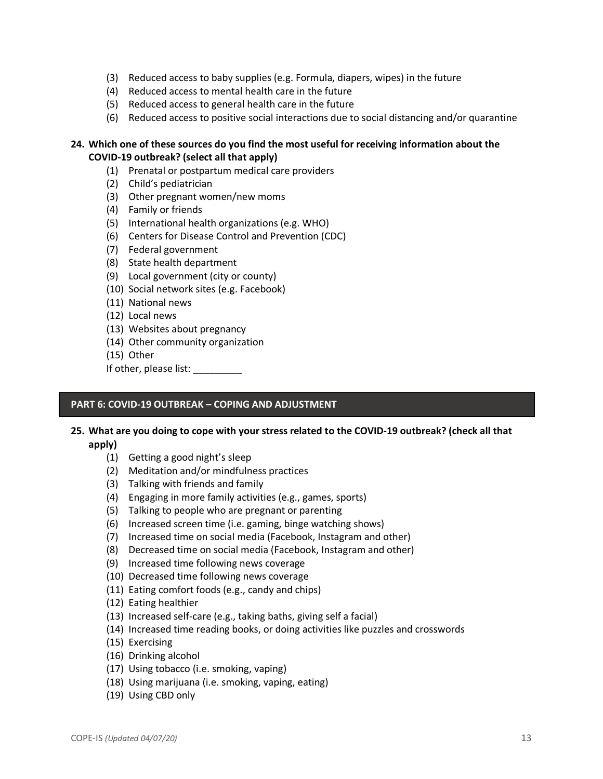- (3) Reduced access to baby supplies (e.g. Formula, diapers, wipes) in the future
- (4) Reduced access to mental health care in the future
- (5) Reduced access to general health care in the future
- (6) Reduced access to positive social interactions due to social distancing and/or quarantine

## **24. Which one of these sources do you find the most useful for receiving information about the COVID-19 outbreak? (select all that apply)**

- (1) Prenatal or postpartum medical care providers
- (2) Child's pediatrician
- (3) Other pregnant women/new moms
- (4) Family or friends
- (5) International health organizations (e.g. WHO)
- (6) Centers for Disease Control and Prevention (CDC)
- (7) Federal government
- (8) State health department
- (9) Local government (city or county)
- (10) Social network sites (e.g. Facebook)
- (11) National news
- (12) Local news
- (13) Websites about pregnancy
- (14) Other community organization
- (15) Other

If other, please list:

## **PART 6: COVID-19 OUTBREAK – COPING AND ADJUSTMENT**

# **25. What are you doing to cope with your stress related to the COVID-19 outbreak? (check all that apply)**

- (1) Getting a good night's sleep
- (2) Meditation and/or mindfulness practices
- (3) Talking with friends and family
- (4) Engaging in more family activities (e.g., games, sports)
- (5) Talking to people who are pregnant or parenting
- (6) Increased screen time (i.e. gaming, binge watching shows)
- (7) Increased time on social media (Facebook, Instagram and other)
- (8) Decreased time on social media (Facebook, Instagram and other)
- (9) Increased time following news coverage
- (10) Decreased time following news coverage
- (11) Eating comfort foods (e.g., candy and chips)
- (12) Eating healthier
- (13) Increased self-care (e.g., taking baths, giving self a facial)
- (14) Increased time reading books, or doing activities like puzzles and crosswords
- (15) Exercising
- (16) Drinking alcohol
- (17) Using tobacco (i.e. smoking, vaping)
- (18) Using marijuana (i.e. smoking, vaping, eating)
- (19) Using CBD only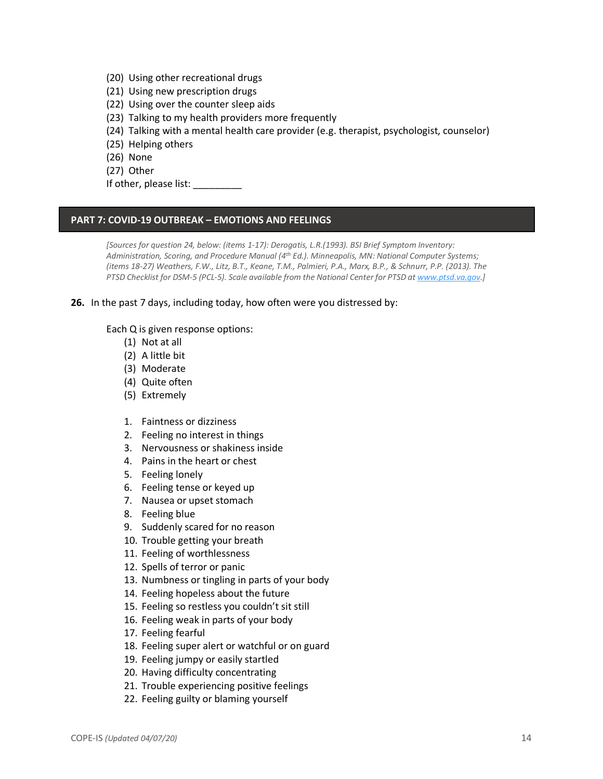- (20) Using other recreational drugs
- (21) Using new prescription drugs
- (22) Using over the counter sleep aids
- (23) Talking to my health providers more frequently
- (24) Talking with a mental health care provider (e.g. therapist, psychologist, counselor)
- (25) Helping others
- (26) None
- (27) Other
- If other, please list:

#### **PART 7: COVID-19 OUTBREAK – EMOTIONS AND FEELINGS**

*[Sources for question 24, below: (items 1-17): Derogatis, L.R.(1993). BSI Brief Symptom Inventory: Administration, Scoring, and Procedure Manual (4th Ed.). Minneapolis, MN: National Computer Systems; (items 18-27) Weathers, F.W., Litz, B.T., Keane, T.M., Palmieri, P.A., Marx, B.P., & Schnurr, P.P. (2013). The PTSD Checklist for DSM-5 (PCL-5). Scale available from the National Center for PTSD at www.ptsd.va.gov.]*

#### **26.** In the past 7 days, including today, how often were you distressed by:

Each Q is given response options:

- (1) Not at all
- (2) A little bit
- (3) Moderate
- (4) Quite often
- (5) Extremely
- 1. Faintness or dizziness
- 2. Feeling no interest in things
- 3. Nervousness or shakiness inside
- 4. Pains in the heart or chest
- 5. Feeling lonely
- 6. Feeling tense or keyed up
- 7. Nausea or upset stomach
- 8. Feeling blue
- 9. Suddenly scared for no reason
- 10. Trouble getting your breath
- 11. Feeling of worthlessness
- 12. Spells of terror or panic
- 13. Numbness or tingling in parts of your body
- 14. Feeling hopeless about the future
- 15. Feeling so restless you couldn't sit still
- 16. Feeling weak in parts of your body
- 17. Feeling fearful
- 18. Feeling super alert or watchful or on guard
- 19. Feeling jumpy or easily startled
- 20. Having difficulty concentrating
- 21. Trouble experiencing positive feelings
- 22. Feeling guilty or blaming yourself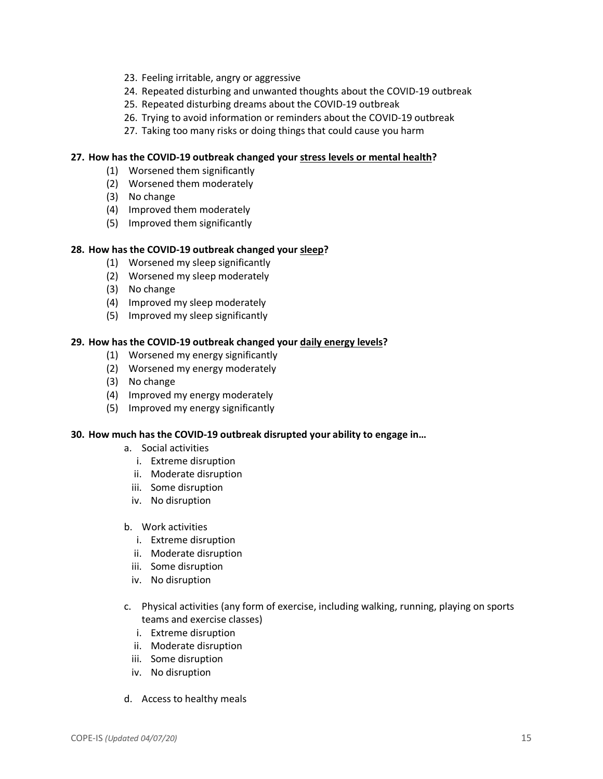- 23. Feeling irritable, angry or aggressive
- 24. Repeated disturbing and unwanted thoughts about the COVID-19 outbreak
- 25. Repeated disturbing dreams about the COVID-19 outbreak
- 26. Trying to avoid information or reminders about the COVID-19 outbreak
- 27. Taking too many risks or doing things that could cause you harm

### **27. How has the COVID-19 outbreak changed your stress levels or mental health?**

- (1) Worsened them significantly
- (2) Worsened them moderately
- (3) No change
- (4) Improved them moderately
- (5) Improved them significantly

### **28. How has the COVID-19 outbreak changed your sleep?**

- (1) Worsened my sleep significantly
- (2) Worsened my sleep moderately
- (3) No change
- (4) Improved my sleep moderately
- (5) Improved my sleep significantly

### **29. How has the COVID-19 outbreak changed your daily energy levels?**

- (1) Worsened my energy significantly
- (2) Worsened my energy moderately
- (3) No change
- (4) Improved my energy moderately
- (5) Improved my energy significantly

#### **30. How much has the COVID-19 outbreak disrupted your ability to engage in…**

- a. Social activities
	- i. Extreme disruption
	- ii. Moderate disruption
	- iii. Some disruption
	- iv. No disruption

### b. Work activities

- i. Extreme disruption
- ii. Moderate disruption
- iii. Some disruption
- iv. No disruption
- c. Physical activities (any form of exercise, including walking, running, playing on sports teams and exercise classes)
	- i. Extreme disruption
	- ii. Moderate disruption
	- iii. Some disruption
	- iv. No disruption
- d. Access to healthy meals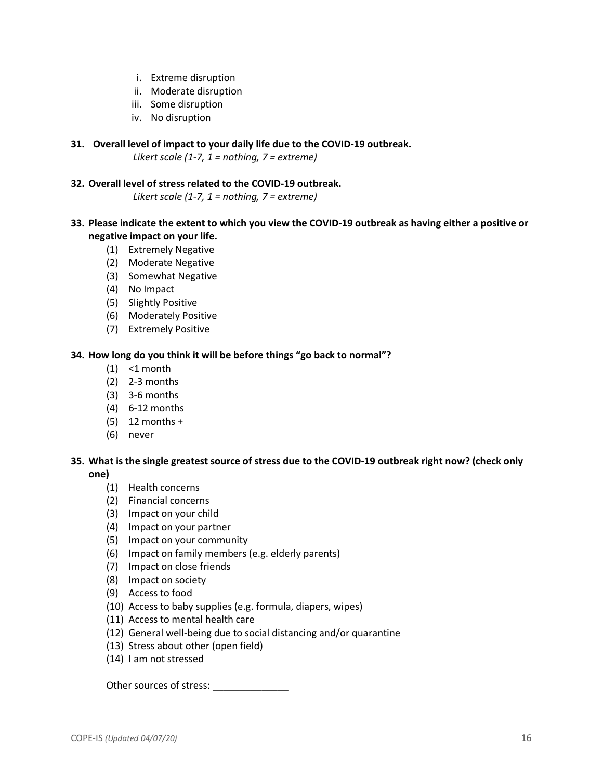- i. Extreme disruption
- ii. Moderate disruption
- iii. Some disruption
- iv. No disruption
- **31. Overall level of impact to your daily life due to the COVID-19 outbreak.**

*Likert scale (1-7, 1 = nothing, 7 = extreme)*

**32. Overall level of stress related to the COVID-19 outbreak.**

*Likert scale (1-7, 1 = nothing, 7 = extreme)*

- **33. Please indicate the extent to which you view the COVID-19 outbreak as having either a positive or negative impact on your life.**
	- (1) Extremely Negative
	- (2) Moderate Negative
	- (3) Somewhat Negative
	- (4) No Impact
	- (5) Slightly Positive
	- (6) Moderately Positive
	- (7) Extremely Positive

## **34. How long do you think it will be before things "go back to normal"?**

- $(1)$  <1 month
- (2) 2-3 months
- (3) 3-6 months
- (4) 6-12 months
- (5) 12 months +
- (6) never

# **35. What is the single greatest source of stress due to the COVID-19 outbreak right now? (check only one)**

- (1) Health concerns
- (2) Financial concerns
- (3) Impact on your child
- (4) Impact on your partner
- (5) Impact on your community
- (6) Impact on family members (e.g. elderly parents)
- (7) Impact on close friends
- (8) Impact on society
- (9) Access to food
- (10) Access to baby supplies (e.g. formula, diapers, wipes)
- (11) Access to mental health care
- (12) General well-being due to social distancing and/or quarantine
- (13) Stress about other (open field)
- (14) I am not stressed

Other sources of stress: \_\_\_\_\_\_\_\_\_\_\_\_\_\_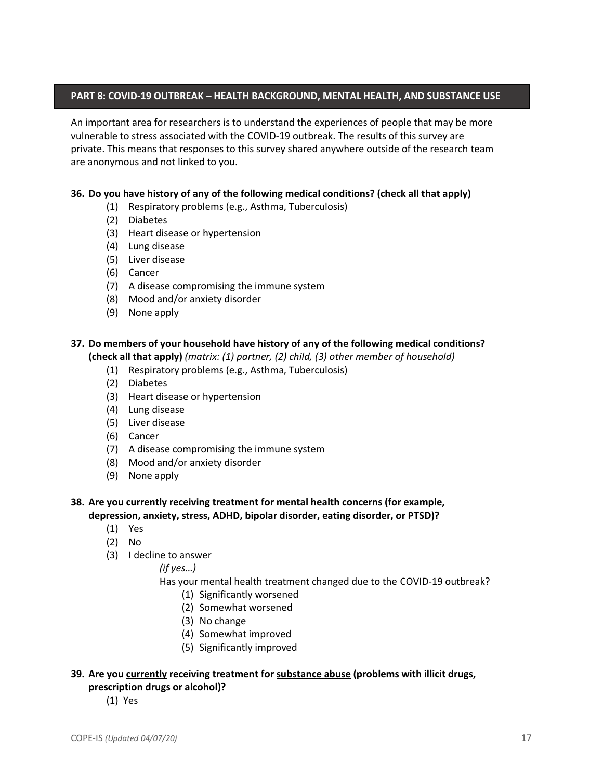# **PART 8: COVID-19 OUTBREAK – HEALTH BACKGROUND, MENTAL HEALTH, AND SUBSTANCE USE**

An important area for researchers is to understand the experiences of people that may be more vulnerable to stress associated with the COVID-19 outbreak. The results of this survey are private. This means that responses to this survey shared anywhere outside of the research team are anonymous and not linked to you.

### **36. Do you have history of any of the following medical conditions? (check all that apply)**

- (1) Respiratory problems (e.g., Asthma, Tuberculosis)
- (2) Diabetes
- (3) Heart disease or hypertension
- (4) Lung disease
- (5) Liver disease
- (6) Cancer
- (7) A disease compromising the immune system
- (8) Mood and/or anxiety disorder
- (9) None apply

### **37. Do members of your household have history of any of the following medical conditions? (check all that apply)** *(matrix: (1) partner, (2) child, (3) other member of household)*

- (1) Respiratory problems (e.g., Asthma, Tuberculosis)
- (2) Diabetes
- (3) Heart disease or hypertension
- (4) Lung disease
- (5) Liver disease
- (6) Cancer
- (7) A disease compromising the immune system
- (8) Mood and/or anxiety disorder
- (9) None apply

### **38. Are you currently receiving treatment for mental health concerns (for example, depression, anxiety, stress, ADHD, bipolar disorder, eating disorder, or PTSD)?**

- (1) Yes
- (2) No
- (3) I decline to answer

*(if yes…)*

#### Has your mental health treatment changed due to the COVID-19 outbreak?

- (1) Significantly worsened
- (2) Somewhat worsened
- (3) No change
- (4) Somewhat improved
- (5) Significantly improved

# **39. Are you currently receiving treatment for substance abuse (problems with illicit drugs, prescription drugs or alcohol)?**

(1) Yes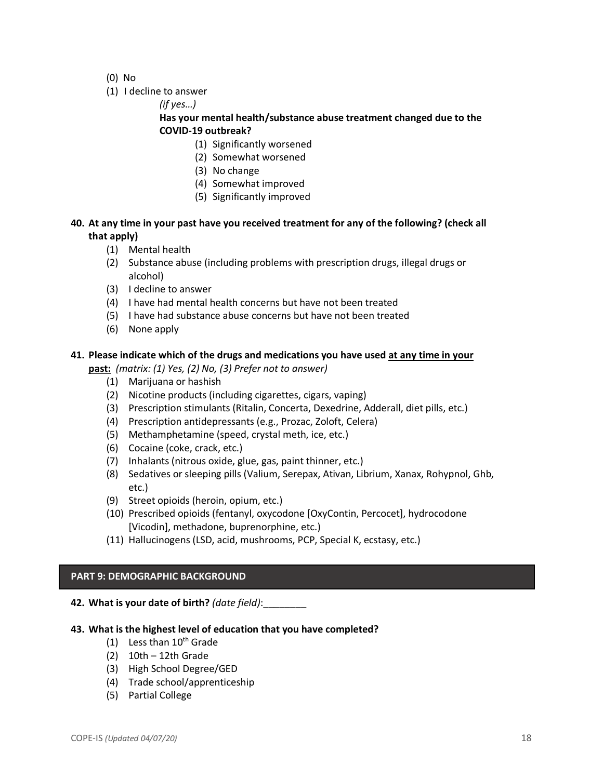- (0) No
- (1) I decline to answer

*(if yes…)*

# **Has your mental health/substance abuse treatment changed due to the COVID-19 outbreak?**

- (1) Significantly worsened
- (2) Somewhat worsened
- (3) No change
- (4) Somewhat improved
- (5) Significantly improved

# **40. At any time in your past have you received treatment for any of the following? (check all that apply)**

- (1) Mental health
- (2) Substance abuse (including problems with prescription drugs, illegal drugs or alcohol)
- (3) I decline to answer
- (4) I have had mental health concerns but have not been treated
- (5) I have had substance abuse concerns but have not been treated
- (6) None apply

# **41. Please indicate which of the drugs and medications you have used at any time in your**

**past:** *(matrix: (1) Yes, (2) No, (3) Prefer not to answer)*

- (1) Marijuana or hashish
- (2) Nicotine products (including cigarettes, cigars, vaping)
- (3) Prescription stimulants (Ritalin, Concerta, Dexedrine, Adderall, diet pills, etc.)
- (4) Prescription antidepressants (e.g., Prozac, Zoloft, Celera)
- (5) Methamphetamine (speed, crystal meth, ice, etc.)
- (6) Cocaine (coke, crack, etc.)
- (7) Inhalants (nitrous oxide, glue, gas, paint thinner, etc.)
- (8) Sedatives or sleeping pills (Valium, Serepax, Ativan, Librium, Xanax, Rohypnol, Ghb, etc.)
- (9) Street opioids (heroin, opium, etc.)
- (10) Prescribed opioids (fentanyl, oxycodone [OxyContin, Percocet], hydrocodone [Vicodin], methadone, buprenorphine, etc.)
- (11) Hallucinogens (LSD, acid, mushrooms, PCP, Special K, ecstasy, etc.)

## **PART 9: DEMOGRAPHIC BACKGROUND**

**42. What is your date of birth?** *(date field)*:\_\_\_\_\_\_\_\_

## **43. What is the highest level of education that you have completed?**

- (1) Less than  $10^{th}$  Grade
- (2) 10th 12th Grade
- (3) High School Degree/GED
- (4) Trade school/apprenticeship
- (5) Partial College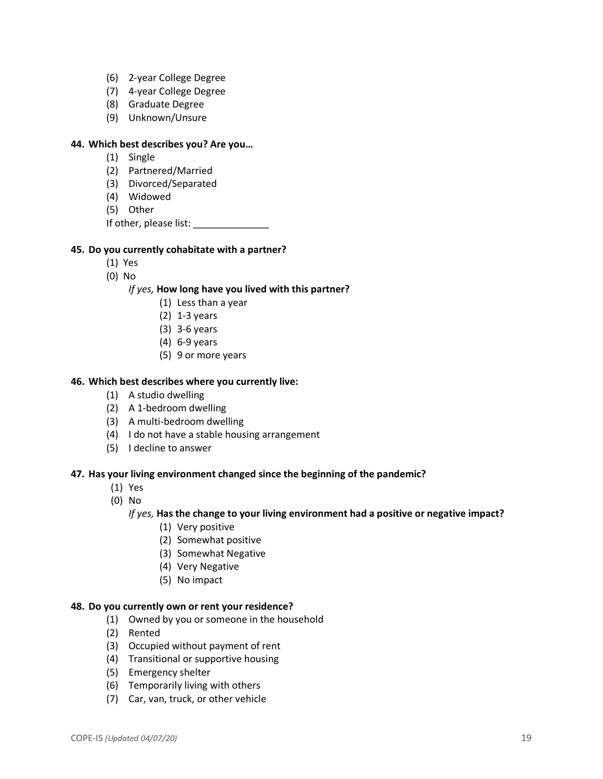- (6) 2-year College Degree
- (7) 4-year College Degree
- (8) Graduate Degree
- (9) Unknown/Unsure

#### **44. Which best describes you? Are you…**

- (1) Single
- (2) Partnered/Married
- (3) Divorced/Separated
- (4) Widowed
- (5) Other

If other, please list: \_\_\_\_\_\_\_\_\_\_\_\_\_\_

### **45. Do you currently cohabitate with a partner?**

- (1) Yes
- (0) No

### *If yes,* **How long have you lived with this partner?**

- (1) Less than a year
- (2) 1-3 years
- (3) 3-6 years
- (4) 6-9 years
- (5) 9 or more years

### **46. Which best describes where you currently live:**

- (1) A studio dwelling
- (2) A 1-bedroom dwelling
- (3) A multi-bedroom dwelling
- (4) I do not have a stable housing arrangement
- (5) I decline to answer

#### **47. Has your living environment changed since the beginning of the pandemic?**

- (1) Yes
- (0) No

#### *If yes,* **Has the change to your living environment had a positive or negative impact?**

- (1) Very positive
- (2) Somewhat positive
- (3) Somewhat Negative
- (4) Very Negative
- (5) No impact

#### **48. Do you currently own or rent your residence?**

- (1) Owned by you or someone in the household
- (2) Rented
- (3) Occupied without payment of rent
- (4) Transitional or supportive housing
- (5) Emergency shelter
- (6) Temporarily living with others
- (7) Car, van, truck, or other vehicle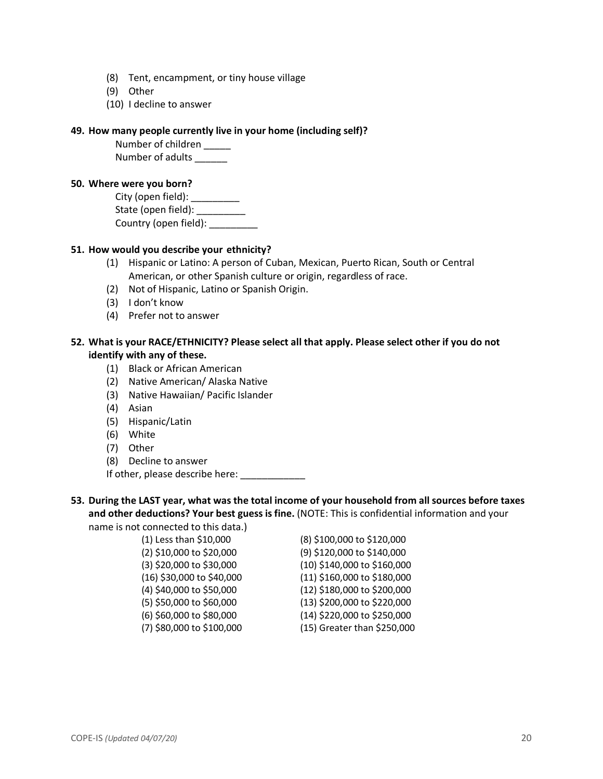- (8) Tent, encampment, or tiny house village
- (9) Other
- (10) I decline to answer

#### **49. How many people currently live in your home (including self)?**

Number of children Number of adults

#### **50. Where were you born?**

City (open field): \_\_\_\_\_\_\_\_\_\_\_ State (open field): \_\_\_\_\_\_\_\_\_\_ Country (open field):

## **51. How would you describe your ethnicity?**

- (1) Hispanic or Latino: A person of Cuban, Mexican, Puerto Rican, South or Central American, or other Spanish culture or origin, regardless of race.
- (2) Not of Hispanic, Latino or Spanish Origin.
- (3) I don't know
- (4) Prefer not to answer

## **52. What is your RACE/ETHNICITY? Please select all that apply. Please select other if you do not identify with any of these.**

- (1) Black or African American
- (2) Native American/ Alaska Native
- (3) Native Hawaiian/ Pacific Islander
- (4) Asian
- (5) Hispanic/Latin
- (6) White
- (7) Other
- (8) Decline to answer

If other, please describe here:

# **53. During the LAST year, what was the total income of your household from all sources before taxes and other deductions? Your best guess is fine.** (NOTE: This is confidential information and your

name is not connected to this data.)

(1) Less than \$10,000 (8) \$100,000 to \$120,000 (2) \$10,000 to \$20,000 (9) \$120,000 to \$140,000 (3) \$20,000 to \$30,000 (10) \$140,000 to \$160,000 (16) \$30,000 to \$40,000 (11) \$160,000 to \$180,000 (4) \$40,000 to \$50,000 (12) \$180,000 to \$200,000 (5) \$50,000 to \$60,000 (13) \$200,000 to \$220,000 (6) \$60,000 to \$80,000 (14) \$220,000 to \$250,000 (7) \$80,000 to \$100,000 (15) Greater than \$250,000